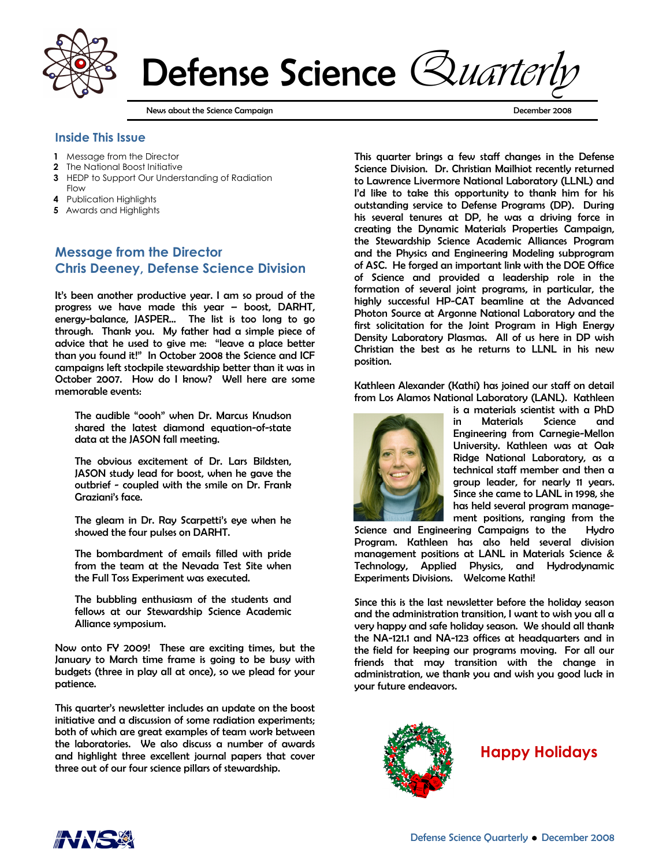

Defense Science Quarter

News about the Science Campaign **December 2008 December 2008** 

### Inside This Issue

- 1 Message from the Director
- 2 The National Boost Initiative
- 3 HEDP to Support Our Understanding of Radiation Flow
- 4 Publication Highlights
- 5 Awards and Highlights

# Message from the Director Chris Deeney, Defense Science Division

It's been another productive year. I am so proud of the progress we have made this year – boost, DARHT, energy-balance, JASPER… The list is too long to go through. Thank you. My father had a simple piece of advice that he used to give me: "leave a place better than you found it!" In October 2008 the Science and ICF campaigns left stockpile stewardship better than it was in October 2007. How do I know? Well here are some memorable events:

The audible "oooh" when Dr. Marcus Knudson shared the latest diamond equation-of-state data at the JASON fall meeting.

The obvious excitement of Dr. Lars Bildsten, JASON study lead for boost, when he gave the outbrief - coupled with the smile on Dr. Frank Graziani's face.

The gleam in Dr. Ray Scarpetti's eye when he showed the four pulses on DARHT.

The bombardment of emails filled with pride from the team at the Nevada Test Site when the Full Toss Experiment was executed.

The bubbling enthusiasm of the students and fellows at our Stewardship Science Academic Alliance symposium.

Now onto FY 2009! These are exciting times, but the January to March time frame is going to be busy with budgets (three in play all at once), so we plead for your patience.

This quarter's newsletter includes an update on the boost initiative and a discussion of some radiation experiments; both of which are great examples of team work between the laboratories. We also discuss a number of awards and highlight three excellent journal papers that cover three out of our four science pillars of stewardship.

This quarter brings a few staff changes in the Defense Science Division. Dr. Christian Mailhiot recently returned to Lawrence Livermore National Laboratory (LLNL) and I'd like to take this opportunity to thank him for his outstanding service to Defense Programs (DP). During his several tenures at DP, he was a driving force in creating the Dynamic Materials Properties Campaign, the Stewardship Science Academic Alliances Program and the Physics and Engineering Modeling subprogram of ASC. He forged an important link with the DOE Office of Science and provided a leadership role in the formation of several joint programs, in particular, the highly successful HP-CAT beamline at the Advanced Photon Source at Argonne National Laboratory and the first solicitation for the Joint Program in High Energy Density Laboratory Plasmas. All of us here in DP wish Christian the best as he returns to LLNL in his new position.

Kathleen Alexander (Kathi) has joined our staff on detail from Los Alamos National Laboratory (LANL). Kathleen



is a materials scientist with a PhD in Materials Science and Engineering from Carnegie-Mellon University. Kathleen was at Oak Ridge National Laboratory, as a technical staff member and then a group leader, for nearly 11 years. Since she came to LANL in 1998, she has held several program management positions, ranging from the

Science and Engineering Campaigns to the Hydro Program. Kathleen has also held several division management positions at LANL in Materials Science & Technology, Applied Physics, and Hydrodynamic Experiments Divisions. Welcome Kathi!

Since this is the last newsletter before the holiday season and the administration transition, I want to wish you all a very happy and safe holiday season. We should all thank the NA-121.1 and NA-123 offices at headquarters and in the field for keeping our programs moving. For all our friends that may transition with the change in administration, we thank you and wish you good luck in your future endeavors.



Happy Holidays

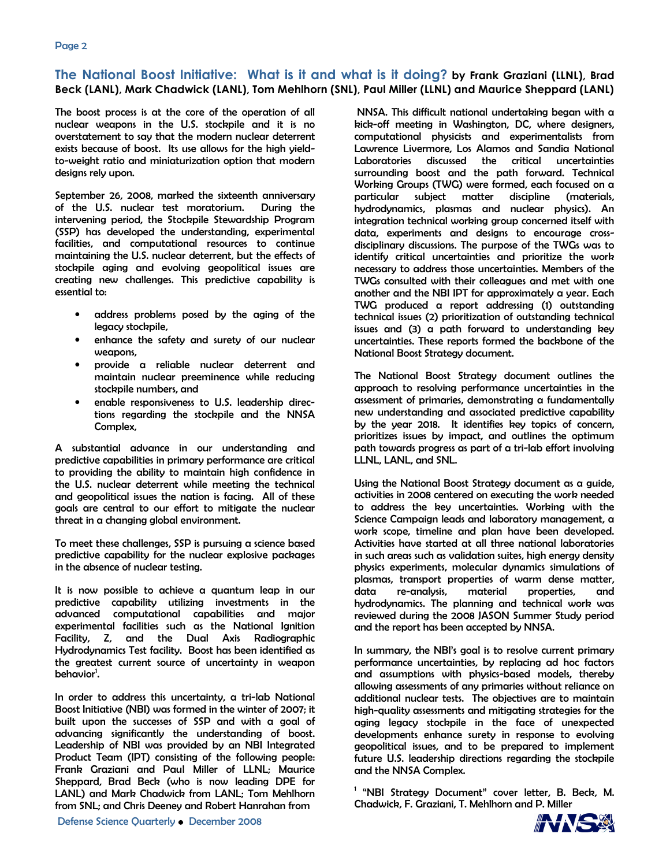### The National Boost Initiative: What is it and what is it doing? by Frank Graziani (LLNL), Brad Beck (LANL), Mark Chadwick (LANL), Tom Mehlhorn (SNL), Paul Miller (LLNL) and Maurice Sheppard (LANL)

The boost process is at the core of the operation of all nuclear weapons in the U.S. stockpile and it is no overstatement to say that the modern nuclear deterrent exists because of boost. Its use allows for the high yieldto-weight ratio and miniaturization option that modern designs rely upon.

September 26, 2008, marked the sixteenth anniversary of the U.S. nuclear test moratorium. During the intervening period, the Stockpile Stewardship Program (SSP) has developed the understanding, experimental facilities, and computational resources to continue maintaining the U.S. nuclear deterrent, but the effects of stockpile aging and evolving geopolitical issues are creating new challenges. This predictive capability is essential to:

- address problems posed by the aging of the legacy stockpile,
- enhance the safety and surety of our nuclear weapons,
- provide a reliable nuclear deterrent and maintain nuclear preeminence while reducing stockpile numbers, and
- enable responsiveness to U.S. leadership directions regarding the stockpile and the NNSA Complex,

A substantial advance in our understanding and predictive capabilities in primary performance are critical to providing the ability to maintain high confidence in the U.S. nuclear deterrent while meeting the technical and geopolitical issues the nation is facing. All of these goals are central to our effort to mitigate the nuclear threat in a changing global environment.

To meet these challenges, SSP is pursuing a science based predictive capability for the nuclear explosive packages in the absence of nuclear testing.

It is now possible to achieve a quantum leap in our predictive capability utilizing investments in the advanced computational capabilities and major experimental facilities such as the National Ignition Facility, Z, and the Dual Axis Radiographic Hydrodynamics Test facility. Boost has been identified as the greatest current source of uncertainty in weapon behavior<sup>1</sup>.

In order to address this uncertainty, a tri-lab National Boost Initiative (NBI) was formed in the winter of 2007; it built upon the successes of SSP and with a goal of advancing significantly the understanding of boost. Leadership of NBI was provided by an NBI Integrated Product Team (IPT) consisting of the following people: Frank Graziani and Paul Miller of LLNL; Maurice Sheppard, Brad Beck (who is now leading DPE for LANL) and Mark Chadwick from LANL; Tom Mehlhorn from SNL; and Chris Deeney and Robert Hanrahan from

 NNSA. This difficult national undertaking began with a kick-off meeting in Washington, DC, where designers, computational physicists and experimentalists from Lawrence Livermore, Los Alamos and Sandia National Laboratories discussed the critical uncertainties surrounding boost and the path forward. Technical Working Groups (TWG) were formed, each focused on a particular subject matter discipline (materials, hydrodynamics, plasmas and nuclear physics). An integration technical working group concerned itself with data, experiments and designs to encourage crossdisciplinary discussions. The purpose of the TWGs was to identify critical uncertainties and prioritize the work necessary to address those uncertainties. Members of the TWGs consulted with their colleagues and met with one another and the NBI IPT for approximately a year. Each TWG produced a report addressing (1) outstanding technical issues (2) prioritization of outstanding technical issues and (3) a path forward to understanding key uncertainties. These reports formed the backbone of the National Boost Strategy document.

The National Boost Strategy document outlines the approach to resolving performance uncertainties in the assessment of primaries, demonstrating a fundamentally new understanding and associated predictive capability by the year 2018. It identifies key topics of concern, prioritizes issues by impact, and outlines the optimum path towards progress as part of a tri-lab effort involving LLNL, LANL, and SNL.

Using the National Boost Strategy document as a guide, activities in 2008 centered on executing the work needed to address the key uncertainties. Working with the Science Campaign leads and laboratory management, a work scope, timeline and plan have been developed. Activities have started at all three national laboratories in such areas such as validation suites, high energy density physics experiments, molecular dynamics simulations of plasmas, transport properties of warm dense matter, data re-analysis, material properties, and hydrodynamics. The planning and technical work was reviewed during the 2008 JASON Summer Study period and the report has been accepted by NNSA.

In summary, the NBI's goal is to resolve current primary performance uncertainties, by replacing ad hoc factors and assumptions with physics-based models, thereby allowing assessments of any primaries without reliance on additional nuclear tests. The objectives are to maintain high-quality assessments and mitigating strategies for the aging legacy stockpile in the face of unexpected developments enhance surety in response to evolving geopolitical issues, and to be prepared to implement future U.S. leadership directions regarding the stockpile and the NNSA Complex.

<sup>1</sup> "NBI Strategy Document" cover letter, B. Beck, M. Chadwick, F. Graziani, T. Mehlhorn and P. Miller

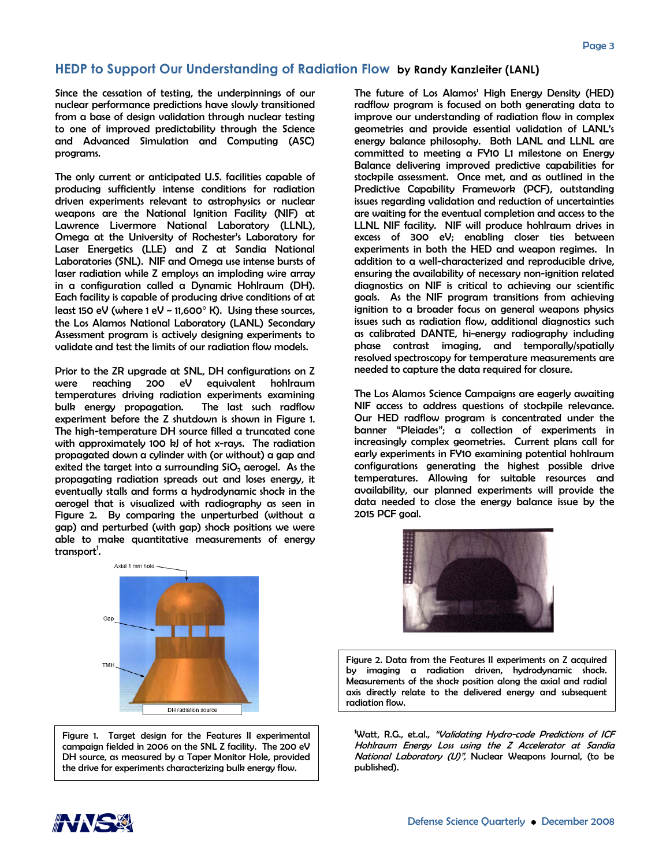### HEDP to Support Our Understanding of Radiation Flow by Randy Kanzleiter (LANL)

Since the cessation of testing, the underpinnings of our nuclear performance predictions have slowly transitioned from a base of design validation through nuclear testing to one of improved predictability through the Science and Advanced Simulation and Computing (ASC) programs.

The only current or anticipated U.S. facilities capable of producing sufficiently intense conditions for radiation driven experiments relevant to astrophysics or nuclear weapons are the National Ignition Facility (NIF) at Lawrence Livermore National Laboratory (LLNL), Omega at the University of Rochester's Laboratory for Laser Energetics (LLE) and Z at Sandia National Laboratories (SNL). NIF and Omega use intense bursts of laser radiation while Z employs an imploding wire array in a configuration called a Dynamic Hohlraum (DH). Each facility is capable of producing drive conditions of at least 150 eV (where 1 eV ~ 11,600° K). Using these sources, the Los Alamos National Laboratory (LANL) Secondary Assessment program is actively designing experiments to validate and test the limits of our radiation flow models.

Prior to the ZR upgrade at SNL, DH configurations on Z were reaching 200 eV equivalent hohlraum temperatures driving radiation experiments examining bulk energy propagation. The last such radflow experiment before the Z shutdown is shown in Figure 1. The high-temperature DH source filled a truncated cone with approximately 100 kJ of hot x-rays. The radiation propagated down a cylinder with (or without) a gap and exited the target into a surrounding  $SiO<sub>2</sub>$  aerogel. As the propagating radiation spreads out and loses energy, it eventually stalls and forms a hydrodynamic shock in the aerogel that is visualized with radiography as seen in Figure 2. By comparing the unperturbed (without a gap) and perturbed (with gap) shock positions we were able to make quantitative measurements of energy transport<sup>1</sup>.



Figure 1. Target design for the Features II experimental campaign fielded in 2006 on the SNL Z facility. The 200 eV DH source, as measured by a Taper Monitor Hole, provided the drive for experiments characterizing bulk energy flow.

The future of Los Alamos' High Energy Density (HED) radflow program is focused on both generating data to improve our understanding of radiation flow in complex geometries and provide essential validation of LANL's energy balance philosophy. Both LANL and LLNL are committed to meeting a FY10 L1 milestone on Energy Balance delivering improved predictive capabilities for stockpile assessment. Once met, and as outlined in the Predictive Capability Framework (PCF), outstanding issues regarding validation and reduction of uncertainties are waiting for the eventual completion and access to the LLNL NIF facility. NIF will produce hohlraum drives in excess of 300 eV; enabling closer ties between experiments in both the HED and weapon regimes. In addition to a well-characterized and reproducible drive, ensuring the availability of necessary non-ignition related diagnostics on NIF is critical to achieving our scientific goals. As the NIF program transitions from achieving ignition to a broader focus on general weapons physics issues such as radiation flow, additional diagnostics such as calibrated DANTE, hi-energy radiography including phase contrast imaging, and temporally/spatially resolved spectroscopy for temperature measurements are needed to capture the data required for closure.

The Los Alamos Science Campaigns are eagerly awaiting NIF access to address questions of stockpile relevance. Our HED radflow program is concentrated under the banner "Pleiades"; a collection of experiments in increasingly complex geometries. Current plans call for early experiments in FY10 examining potential hohlraum configurations generating the highest possible drive temperatures. Allowing for suitable resources and availability, our planned experiments will provide the data needed to close the energy balance issue by the 2015 PCF goal.



Figure 2. Data from the Features II experiments on Z acquired by imaging a radiation driven, hydrodynamic shock. Measurements of the shock position along the axial and radial axis directly relate to the delivered energy and subsequent radiation flow.

<sup>1</sup>Watt, R.G., et.al., "Validating Hydro-code Predictions of ICF Hohlraum Energy Loss using the Z Accelerator at Sandia National Laboratory (U)", Nuclear Weapons Journal, (to be published).

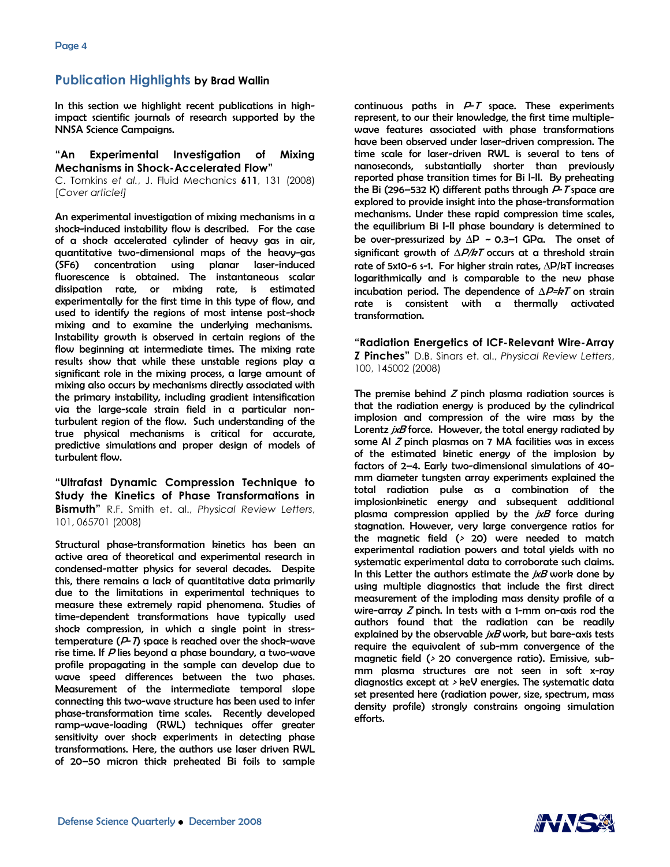## Publication Highlights by Brad Wallin

In this section we highlight recent publications in highimpact scientific journals of research supported by the NNSA Science Campaigns.

#### "An Experimental Investigation of Mixing Mechanisms in Shock-Accelerated Flow"

C. Tomkins et al., J. Fluid Mechanics 611, 131 (2008) [Cover article!]

An experimental investigation of mixing mechanisms in a shock-induced instability flow is described. For the case of a shock accelerated cylinder of heavy gas in air, quantitative two-dimensional maps of the heavy-gas (SF6) concentration using planar laser-induced fluorescence is obtained. The instantaneous scalar dissipation rate, or mixing rate, is estimated experimentally for the first time in this type of flow, and used to identify the regions of most intense post-shock mixing and to examine the underlying mechanisms. Instability growth is observed in certain regions of the flow beginning at intermediate times. The mixing rate results show that while these unstable regions play a significant role in the mixing process, a large amount of mixing also occurs by mechanisms directly associated with the primary instability, including gradient intensification via the large-scale strain field in a particular nonturbulent region of the flow. Such understanding of the true physical mechanisms is critical for accurate, predictive simulations and proper design of models of turbulent flow.

"Ultrafast Dynamic Compression Technique to Study the Kinetics of Phase Transformations in **Bismuth**" R.F. Smith et. al., Physical Review Letters, 101, 065701 (2008)

Structural phase-transformation kinetics has been an active area of theoretical and experimental research in condensed-matter physics for several decades. Despite this, there remains a lack of quantitative data primarily due to the limitations in experimental techniques to measure these extremely rapid phenomena. Studies of time-dependent transformations have typically used shock compression, in which a single point in stresstemperature  $(P<sub>T</sub>)$  space is reached over the shock-wave rise time. If P lies beyond a phase boundary, a two-wave profile propagating in the sample can develop due to wave speed differences between the two phases. Measurement of the intermediate temporal slope connecting this two-wave structure has been used to infer phase-transformation time scales. Recently developed ramp-wave-loading (RWL) techniques offer greater sensitivity over shock experiments in detecting phase transformations. Here, the authors use laser driven RWL of 20–50 micron thick preheated Bi foils to sample

continuous paths in  $P-T$  space. These experiments represent, to our their knowledge, the first time multiplewave features associated with phase transformations have been observed under laser-driven compression. The time scale for laser-driven RWL is several to tens of nanoseconds, substantially shorter than previously reported phase transition times for Bi I-II. By preheating the Bi (296–532 K) different paths through  $P$ -T space are explored to provide insight into the phase-transformation mechanisms. Under these rapid compression time scales, the equilibrium Bi I-II phase boundary is determined to be over-pressurized by  $\Delta P \sim 0.3$ –1 GPa. The onset of significant growth of  $\Delta P/kT$  occurs at a threshold strain rate of 5x10-6 s-1. For higher strain rates, ∆P/kT increases logarithmically and is comparable to the new phase incubation period. The dependence of  $\Delta P = kT$  on strain rate is consistent with a thermally activated transformation.

"Radiation Energetics of ICF-Relevant Wire-Array Z Pinches" D.B. Sinars et. al., Physical Review Letters, 100, 145002 (2008)

The premise behind  $Z$  pinch plasma radiation sources is that the radiation energy is produced by the cylindrical implosion and compression of the wire mass by the Lorentz jxB force. However, the total energy radiated by some Al Z pinch plasmas on 7 MA facilities was in excess of the estimated kinetic energy of the implosion by factors of 2–4. Early two-dimensional simulations of 40 mm diameter tungsten array experiments explained the total radiation pulse as a combination of the implosionkinetic energy and subsequent additional plasma compression applied by the  $ixB$  force during stagnation. However, very large convergence ratios for the magnetic field  $(> 20)$  were needed to match experimental radiation powers and total yields with no systematic experimental data to corroborate such claims. In this Letter the authors estimate the  $ixB$  work done by using multiple diagnostics that include the first direct measurement of the imploding mass density profile of a wire-array  $Z$  pinch. In tests with a 1-mm on-axis rod the authors found that the radiation can be readily explained by the observable  $jxB$  work, but bare-axis tests require the equivalent of sub-mm convergence of the magnetic field (> 20 convergence ratio). Emissive, submm plasma structures are not seen in soft x-ray diagnostics except at  $>$  keV energies. The systematic data set presented here (radiation power, size, spectrum, mass density profile) strongly constrains ongoing simulation efforts.